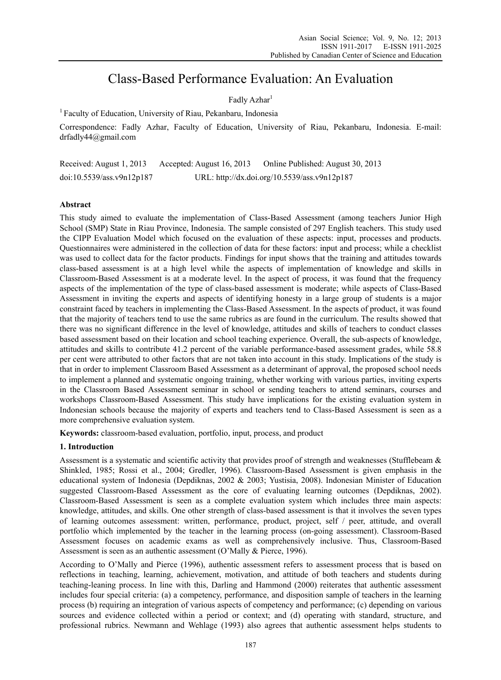# Class-Based Performance Evaluation: An Evaluation

# Fadly Azhar<sup>1</sup>

1 Faculty of Education, University of Riau, Pekanbaru, Indonesia

Correspondence: Fadly Azhar, Faculty of Education, University of Riau, Pekanbaru, Indonesia. E-mail: drfadly44@gmail.com

Received: August 1, 2013 Accepted: August 16, 2013 Online Published: August 30, 2013 doi:10.5539/ass.v9n12p187 URL: http://dx.doi.org/10.5539/ass.v9n12p187

## **Abstract**

This study aimed to evaluate the implementation of Class-Based Assessment (among teachers Junior High School (SMP) State in Riau Province, Indonesia. The sample consisted of 297 English teachers. This study used the CIPP Evaluation Model which focused on the evaluation of these aspects: input, processes and products. Questionnaires were administered in the collection of data for these factors: input and process; while a checklist was used to collect data for the factor products. Findings for input shows that the training and attitudes towards class-based assessment is at a high level while the aspects of implementation of knowledge and skills in Classroom-Based Assessment is at a moderate level. In the aspect of process, it was found that the frequency aspects of the implementation of the type of class-based assessment is moderate; while aspects of Class-Based Assessment in inviting the experts and aspects of identifying honesty in a large group of students is a major constraint faced by teachers in implementing the Class-Based Assessment. In the aspects of product, it was found that the majority of teachers tend to use the same rubrics as are found in the curriculum. The results showed that there was no significant difference in the level of knowledge, attitudes and skills of teachers to conduct classes based assessment based on their location and school teaching experience. Overall, the sub-aspects of knowledge, attitudes and skills to contribute 41.2 percent of the variable performance-based assessment grades, while 58.8 per cent were attributed to other factors that are not taken into account in this study. Implications of the study is that in order to implement Classroom Based Assessment as a determinant of approval, the proposed school needs to implement a planned and systematic ongoing training, whether working with various parties, inviting experts in the Classroom Based Assessment seminar in school or sending teachers to attend seminars, courses and workshops Classroom-Based Assessment. This study have implications for the existing evaluation system in Indonesian schools because the majority of experts and teachers tend to Class-Based Assessment is seen as a more comprehensive evaluation system.

**Keywords:** classroom-based evaluation, portfolio, input, process, and product

## **1. Introduction**

Assessment is a systematic and scientific activity that provides proof of strength and weaknesses (Stufflebeam & Shinkled, 1985; Rossi et al., 2004; Gredler, 1996). Classroom-Based Assessment is given emphasis in the educational system of Indonesia (Depdiknas, 2002 & 2003; Yustisia, 2008). Indonesian Minister of Education suggested Classroom-Based Assessment as the core of evaluating learning outcomes (Depdiknas, 2002). Classroom-Based Assessment is seen as a complete evaluation system which includes three main aspects: knowledge, attitudes, and skills. One other strength of class-based assessment is that it involves the seven types of learning outcomes assessment: written, performance, product, project, self / peer, attitude, and overall portfolio which implemented by the teacher in the learning process (on-going assessment). Classroom-Based Assessment focuses on academic exams as well as comprehensively inclusive. Thus, Classroom-Based Assessment is seen as an authentic assessment (O'Mally & Pierce, 1996).

According to O'Mally and Pierce (1996), authentic assessment refers to assessment process that is based on reflections in teaching, learning, achievement, motivation, and attitude of both teachers and students during teaching-leaning process. In line with this, Darling and Hammond (2000) reiterates that authentic assessment includes four special criteria: (a) a competency, performance, and disposition sample of teachers in the learning process (b) requiring an integration of various aspects of competency and performance; (c) depending on various sources and evidence collected within a period or context; and (d) operating with standard, structure, and professional rubrics. Newmann and Wehlage (1993) also agrees that authentic assessment helps students to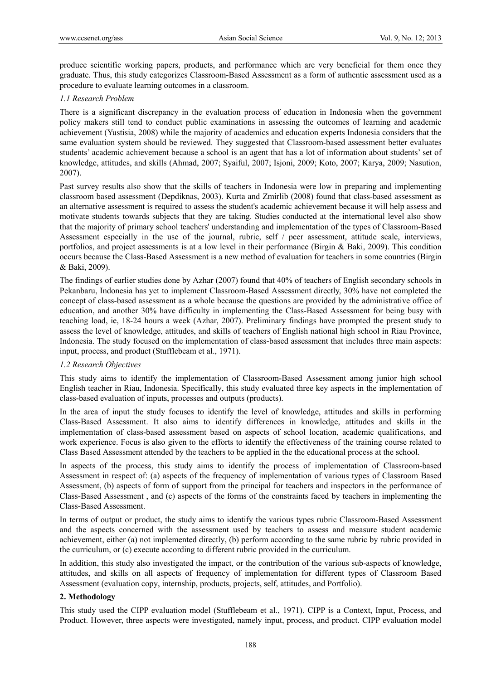produce scientific working papers, products, and performance which are very beneficial for them once they graduate. Thus, this study categorizes Classroom-Based Assessment as a form of authentic assessment used as a procedure to evaluate learning outcomes in a classroom.

## *1.1 Research Problem*

There is a significant discrepancy in the evaluation process of education in Indonesia when the government policy makers still tend to conduct public examinations in assessing the outcomes of learning and academic achievement (Yustisia, 2008) while the majority of academics and education experts Indonesia considers that the same evaluation system should be reviewed. They suggested that Classroom-based assessment better evaluates students' academic achievement because a school is an agent that has a lot of information about students' set of knowledge, attitudes, and skills (Ahmad, 2007; Syaiful, 2007; Isjoni, 2009; Koto, 2007; Karya, 2009; Nasution, 2007).

Past survey results also show that the skills of teachers in Indonesia were low in preparing and implementing classroom based assessment (Depdiknas, 2003). Kurta and Zmirlib (2008) found that class-based assessment as an alternative assessment is required to assess the student's academic achievement because it will help assess and motivate students towards subjects that they are taking. Studies conducted at the international level also show that the majority of primary school teachers' understanding and implementation of the types of Classroom-Based Assessment especially in the use of the journal, rubric, self / peer assessment, attitude scale, interviews, portfolios, and project assessments is at a low level in their performance (Birgin & Baki, 2009). This condition occurs because the Class-Based Assessment is a new method of evaluation for teachers in some countries (Birgin & Baki, 2009).

The findings of earlier studies done by Azhar (2007) found that 40% of teachers of English secondary schools in Pekanbaru, Indonesia has yet to implement Classroom-Based Assessment directly, 30% have not completed the concept of class-based assessment as a whole because the questions are provided by the administrative office of education, and another 30% have difficulty in implementing the Class-Based Assessment for being busy with teaching load, ie, 18-24 hours a week (Azhar, 2007). Preliminary findings have prompted the present study to assess the level of knowledge, attitudes, and skills of teachers of English national high school in Riau Province, Indonesia. The study focused on the implementation of class-based assessment that includes three main aspects: input, process, and product (Stufflebeam et al., 1971).

## *1.2 Research Objectives*

This study aims to identify the implementation of Classroom-Based Assessment among junior high school English teacher in Riau, Indonesia. Specifically, this study evaluated three key aspects in the implementation of class-based evaluation of inputs, processes and outputs (products).

In the area of input the study focuses to identify the level of knowledge, attitudes and skills in performing Class-Based Assessment. It also aims to identify differences in knowledge, attitudes and skills in the implementation of class-based assessment based on aspects of school location, academic qualifications, and work experience. Focus is also given to the efforts to identify the effectiveness of the training course related to Class Based Assessment attended by the teachers to be applied in the the educational process at the school.

In aspects of the process, this study aims to identify the process of implementation of Classroom-based Assessment in respect of: (a) aspects of the frequency of implementation of various types of Classroom Based Assessment, (b) aspects of form of support from the principal for teachers and inspectors in the performance of Class-Based Assessment , and (c) aspects of the forms of the constraints faced by teachers in implementing the Class-Based Assessment.

In terms of output or product, the study aims to identify the various types rubric Classroom-Based Assessment and the aspects concerned with the assessment used by teachers to assess and measure student academic achievement, either (a) not implemented directly, (b) perform according to the same rubric by rubric provided in the curriculum, or (c) execute according to different rubric provided in the curriculum.

In addition, this study also investigated the impact, or the contribution of the various sub-aspects of knowledge, attitudes, and skills on all aspects of frequency of implementation for different types of Classroom Based Assessment (evaluation copy, internship, products, projects, self, attitudes, and Portfolio).

## **2. Methodology**

This study used the CIPP evaluation model (Stufflebeam et al., 1971). CIPP is a Context, Input, Process, and Product. However, three aspects were investigated, namely input, process, and product. CIPP evaluation model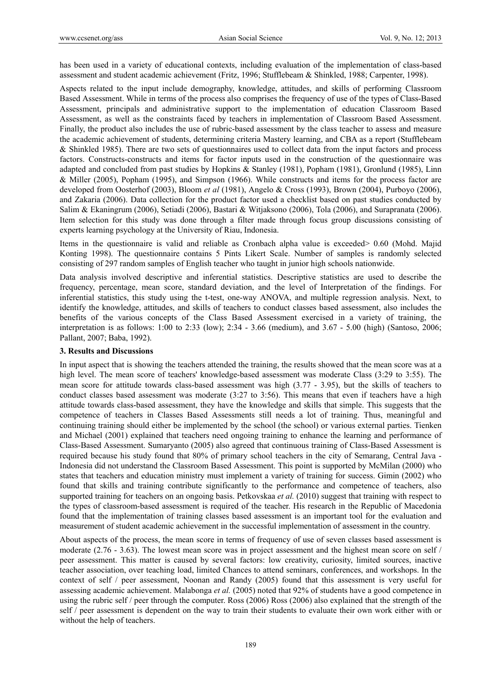has been used in a variety of educational contexts, including evaluation of the implementation of class-based assessment and student academic achievement (Fritz, 1996; Stufflebeam & Shinkled, 1988; Carpenter, 1998).

Aspects related to the input include demography, knowledge, attitudes, and skills of performing Classroom Based Assessment. While in terms of the process also comprises the frequency of use of the types of Class-Based Assessment, principals and administrative support to the implementation of education Classroom Based Assessment, as well as the constraints faced by teachers in implementation of Classroom Based Assessment. Finally, the product also includes the use of rubric-based assessment by the class teacher to assess and measure the academic achievement of students, determining criteria Mastery learning, and CBA as a report (Stufflebeam & Shinkled 1985). There are two sets of questionnaires used to collect data from the input factors and process factors. Constructs-constructs and items for factor inputs used in the construction of the questionnaire was adapted and concluded from past studies by Hopkins & Stanley (1981), Popham (1981), Gronlund (1985), Linn & Miller (2005), Popham (1995), and Simpson (1966). While constructs and items for the process factor are developed from Oosterhof (2003), Bloom *et al* (1981), Angelo & Cross (1993), Brown (2004), Purboyo (2006), and Zakaria (2006). Data collection for the product factor used a checklist based on past studies conducted by Salim & Ekaningrum (2006), Setiadi (2006), Bastari & Witjaksono (2006), Tola (2006), and Surapranata (2006). Item selection for this study was done through a filter made through focus group discussions consisting of experts learning psychology at the University of Riau, Indonesia.

Items in the questionnaire is valid and reliable as Cronbach alpha value is exceeded> 0.60 (Mohd. Majid Konting 1998). The questionnaire contains 5 Pints Likert Scale. Number of samples is randomly selected consisting of 297 random samples of English teacher who taught in junior high schools nationwide.

Data analysis involved descriptive and inferential statistics. Descriptive statistics are used to describe the frequency, percentage, mean score, standard deviation, and the level of Interpretation of the findings. For inferential statistics, this study using the t-test, one-way ANOVA, and multiple regression analysis. Next, to identify the knowledge, attitudes, and skills of teachers to conduct classes based assessment, also includes the benefits of the various concepts of the Class Based Assessment exercised in a variety of training, the interpretation is as follows: 1:00 to 2:33 (low); 2:34 - 3.66 (medium), and 3.67 - 5.00 (high) (Santoso, 2006; Pallant, 2007; Baba, 1992).

## **3. Results and Discussions**

In input aspect that is showing the teachers attended the training, the results showed that the mean score was at a high level. The mean score of teachers' knowledge-based assessment was moderate Class (3:29 to 3:55). The mean score for attitude towards class-based assessment was high (3.77 - 3.95), but the skills of teachers to conduct classes based assessment was moderate (3:27 to 3:56). This means that even if teachers have a high attitude towards class-based assessment, they have the knowledge and skills that simple. This suggests that the competence of teachers in Classes Based Assessments still needs a lot of training. Thus, meaningful and continuing training should either be implemented by the school (the school) or various external parties. Tienken and Michael (2001) explained that teachers need ongoing training to enhance the learning and performance of Class-Based Assessment. Sumaryanto (2005) also agreed that continuous training of Class-Based Assessment is required because his study found that 80% of primary school teachers in the city of Semarang, Central Java - Indonesia did not understand the Classroom Based Assessment. This point is supported by McMilan (2000) who states that teachers and education ministry must implement a variety of training for success. Gimin (2002) who found that skills and training contribute significantly to the performance and competence of teachers, also supported training for teachers on an ongoing basis. Petkovskaa *et al.* (2010) suggest that training with respect to the types of classroom-based assessment is required of the teacher. His research in the Republic of Macedonia found that the implementation of training classes based assessment is an important tool for the evaluation and measurement of student academic achievement in the successful implementation of assessment in the country.

About aspects of the process, the mean score in terms of frequency of use of seven classes based assessment is moderate (2.76 - 3.63). The lowest mean score was in project assessment and the highest mean score on self / peer assessment. This matter is caused by several factors: low creativity, curiosity, limited sources, inactive teacher association, over teaching load, limited Chances to attend seminars, conferences, and workshops. In the context of self / peer assessment, Noonan and Randy (2005) found that this assessment is very useful for assessing academic achievement. Malabonga *et al.* (2005) noted that 92% of students have a good competence in using the rubric self / peer through the computer. Ross (2006) Ross (2006) also explained that the strength of the self / peer assessment is dependent on the way to train their students to evaluate their own work either with or without the help of teachers.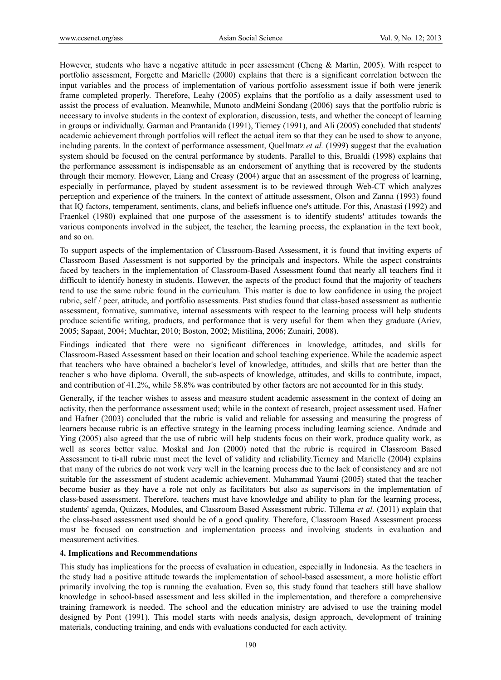However, students who have a negative attitude in peer assessment (Cheng & Martin, 2005). With respect to portfolio assessment, Forgette and Marielle (2000) explains that there is a significant correlation between the input variables and the process of implementation of various portfolio assessment issue if both were jenerik frame completed properly. Therefore, Leahy (2005) explains that the portfolio as a daily assessment used to assist the process of evaluation. Meanwhile, Munoto andMeini Sondang (2006) says that the portfolio rubric is necessary to involve students in the context of exploration, discussion, tests, and whether the concept of learning in groups or individually. Garman and Prantanida (1991), Tierney (1991), and Ali (2005) concluded that students' academic achievement through portfolios will reflect the actual item so that they can be used to show to anyone, including parents. In the context of performance assessment, Quellmatz *et al.* (1999) suggest that the evaluation system should be focused on the central performance by students. Parallel to this, Brualdi (1998) explains that the performance assessment is indispensable as an endorsement of anything that is recovered by the students through their memory. However, Liang and Creasy (2004) argue that an assessment of the progress of learning, especially in performance, played by student assessment is to be reviewed through Web-CT which analyzes perception and experience of the trainers. In the context of attitude assessment, Olson and Zanna (1993) found that IQ factors, temperament, sentiments, clans, and beliefs influence one's attitude. For this, Anastasi (1992) and Fraenkel (1980) explained that one purpose of the assessment is to identify students' attitudes towards the various components involved in the subject, the teacher, the learning process, the explanation in the text book, and so on.

To support aspects of the implementation of Classroom-Based Assessment, it is found that inviting experts of Classroom Based Assessment is not supported by the principals and inspectors. While the aspect constraints faced by teachers in the implementation of Classroom-Based Assessment found that nearly all teachers find it difficult to identify honesty in students. However, the aspects of the product found that the majority of teachers tend to use the same rubric found in the curriculum. This matter is due to low confidence in using the project rubric, self / peer, attitude, and portfolio assessments. Past studies found that class-based assessment as authentic assessment, formative, summative, internal assessments with respect to the learning process will help students produce scientific writing, products, and performance that is very useful for them when they graduate (Ariev, 2005; Sapaat, 2004; Muchtar, 2010; Boston, 2002; Mistilina, 2006; Zunairi, 2008).

Findings indicated that there were no significant differences in knowledge, attitudes, and skills for Classroom-Based Assessment based on their location and school teaching experience. While the academic aspect that teachers who have obtained a bachelor's level of knowledge, attitudes, and skills that are better than the teacher s who have diploma. Overall, the sub-aspects of knowledge, attitudes, and skills to contribute, impact, and contribution of 41.2%, while 58.8% was contributed by other factors are not accounted for in this study.

Generally, if the teacher wishes to assess and measure student academic assessment in the context of doing an activity, then the performance assessment used; while in the context of research, project assessment used. Hafner and Hafner (2003) concluded that the rubric is valid and reliable for assessing and measuring the progress of learners because rubric is an effective strategy in the learning process including learning science. Andrade and Ying (2005) also agreed that the use of rubric will help students focus on their work, produce quality work, as well as scores better value. Moskal and Jon (2000) noted that the rubric is required in Classroom Based Assessment to ti-all rubric must meet the level of validity and reliability.Tierney and Marielle (2004) explains that many of the rubrics do not work very well in the learning process due to the lack of consistency and are not suitable for the assessment of student academic achievement. Muhammad Yaumi (2005) stated that the teacher become busier as they have a role not only as facilitators but also as supervisors in the implementation of class-based assessment. Therefore, teachers must have knowledge and ability to plan for the learning process, students' agenda, Quizzes, Modules, and Classroom Based Assessment rubric. Tillema *et al.* (2011) explain that the class-based assessment used should be of a good quality. Therefore, Classroom Based Assessment process must be focused on construction and implementation process and involving students in evaluation and measurement activities.

## **4. Implications and Recommendations**

This study has implications for the process of evaluation in education, especially in Indonesia. As the teachers in the study had a positive attitude towards the implementation of school-based assessment, a more holistic effort primarily involving the top is running the evaluation. Even so, this study found that teachers still have shallow knowledge in school-based assessment and less skilled in the implementation, and therefore a comprehensive training framework is needed. The school and the education ministry are advised to use the training model designed by Pont (1991). This model starts with needs analysis, design approach, development of training materials, conducting training, and ends with evaluations conducted for each activity.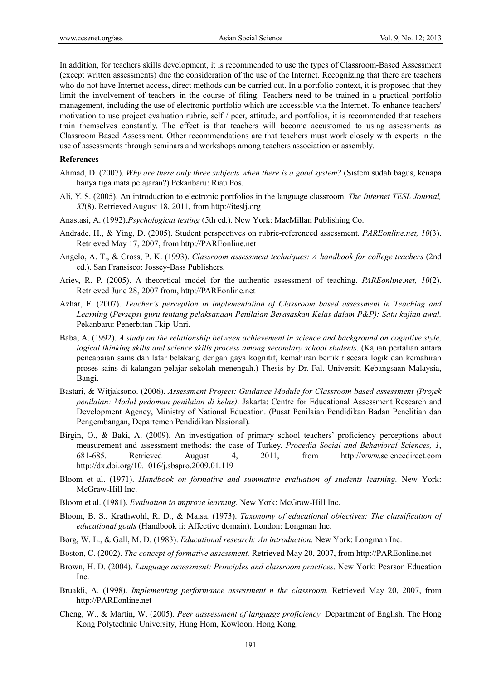In addition, for teachers skills development, it is recommended to use the types of Classroom-Based Assessment (except written assessments) due the consideration of the use of the Internet. Recognizing that there are teachers who do not have Internet access, direct methods can be carried out. In a portfolio context, it is proposed that they limit the involvement of teachers in the course of filing. Teachers need to be trained in a practical portfolio management, including the use of electronic portfolio which are accessible via the Internet. To enhance teachers' motivation to use project evaluation rubric, self / peer, attitude, and portfolios, it is recommended that teachers train themselves constantly. The effect is that teachers will become accustomed to using assessments as Classroom Based Assessment. Other recommendations are that teachers must work closely with experts in the use of assessments through seminars and workshops among teachers association or assembly.

#### **References**

- Ahmad, D. (2007). *Why are there only three subjects when there is a good system?* (Sistem sudah bagus, kenapa hanya tiga mata pelajaran?) Pekanbaru: Riau Pos.
- Ali, Y. S. (2005). An introduction to electronic portfolios in the language classroom. *The Internet TESL Journal, XI*(8). Retrieved August 18, 2011, from http://iteslj.org
- Anastasi, A. (1992).*Psychological testing* (5th ed.). New York: MacMillan Publishing Co.
- Andrade, H., & Ying, D. (2005). Student perspectives on rubric-referenced assessment. *PAREonline.net, 10*(3). Retrieved May 17, 2007, from http://PAREonline.net
- Angelo, A. T., & Cross, P. K. (1993). *Classroom assessment techniques: A handbook for college teachers* (2nd ed.). San Fransisco: Jossey-Bass Publishers.
- Ariev, R. P. (2005). A theoretical model for the authentic assessment of teaching. *PAREonline.net, 10*(2). Retrieved June 28, 2007 from, http://PAREonline.net
- Azhar, F. (2007). *Teacher's perception in implementation of Classroom based assessment in Teaching and Learning* (*Persepsi guru tentang pelaksanaan Penilaian Berasaskan Kelas dalam P&P): Satu kajian awal.*  Pekanbaru: Penerbitan Fkip-Unri.
- Baba, A. (1992). *A study on the relationship between achievement in science and background on cognitive style, logical thinking skills and science skills process among secondary school students.* (Kajian pertalian antara pencapaian sains dan latar belakang dengan gaya kognitif, kemahiran berfikir secara logik dan kemahiran proses sains di kalangan pelajar sekolah menengah.) Thesis by Dr. Fal. Universiti Kebangsaan Malaysia, Bangi.
- Bastari, & Witjaksono. (2006). *Assessment Project: Guidance Module for Classroom based assessment (Projek penilaian: Modul pedoman penilaian di kelas)*. Jakarta: Centre for Educational Assessment Research and Development Agency, Ministry of National Education. (Pusat Penilaian Pendidikan Badan Penelitian dan Pengembangan, Departemen Pendidikan Nasional).
- Birgin, O., & Baki, A. (2009). An investigation of primary school teachers' proficiency perceptions about measurement and assessment methods: the case of Turkey. *Procedia Social and Behavioral Sciences, 1*, 681-685. Retrieved August 4, 2011, from http://www.sciencedirect.com http://dx.doi.org/10.1016/j.sbspro.2009.01.119
- Bloom et al. (1971). *Handbook on formative and summative evaluation of students learning*. New York: McGraw-Hill Inc.
- Bloom et al. (1981). *Evaluation to improve learning.* New York: McGraw-Hill Inc.
- Bloom, B. S., Krathwohl, R. D., & Maisa*.* (1973). *Taxonomy of educational objectives: The classification of educational goals* (Handbook ii: Affective domain). London: Longman Inc.
- Borg, W. L., & Gall, M. D. (1983). *Educational research: An introduction.* New York: Longman Inc.
- Boston, C. (2002). *The concept of formative assessment.* Retrieved May 20, 2007, from http://PAREonline.net
- Brown, H. D. (2004). *Language assessment: Principles and classroom practices*. New York: Pearson Education Inc.
- Brualdi, A. (1998). *Implementing performance assessment n the classroom.* Retrieved May 20, 2007, from http://PAREonline.net
- Cheng, W., & Martin, W. (2005). *Peer aassessment of language proficiency.* Department of English. The Hong Kong Polytechnic University, Hung Hom, Kowloon, Hong Kong.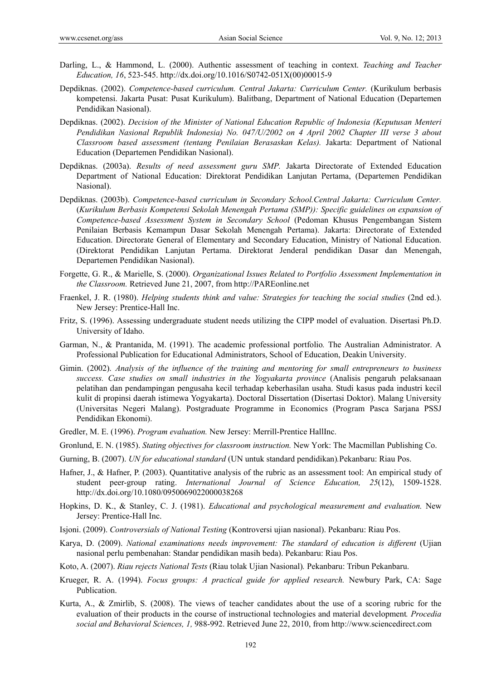- Darling, L., & Hammond, L. (2000). Authentic assessment of teaching in context. *Teaching and Teacher Education, 16*, 523-545. http://dx.doi.org/10.1016/S0742-051X(00)00015-9
- Depdiknas. (2002). *Competence-based curriculum. Central Jakarta: Curriculum Center.* (Kurikulum berbasis kompetensi. Jakarta Pusat: Pusat Kurikulum). Balitbang, Department of National Education (Departemen Pendidikan Nasional).
- Depdiknas. (2002). *Decision of the Minister of National Education Republic of Indonesia (Keputusan Menteri Pendidikan Nasional Republik Indonesia) No. 047/U/2002 on 4 April 2002 Chapter III verse 3 about Classroom based assessment (tentang Penilaian Berasaskan Kelas).* Jakarta: Department of National Education (Departemen Pendidikan Nasional).
- Depdiknas. (2003a). *Results of need assessment guru SMP.* Jakarta Directorate of Extended Education Department of National Education: Direktorat Pendidikan Lanjutan Pertama, (Departemen Pendidikan Nasional).
- Depdiknas. (2003b). *Competence-based curriculum in Secondary School.Central Jakarta: Curriculum Center.*  (*Kurikulum Berbasis Kompetensi Sekolah Menengah Pertama (SMP)): Specific guidelines on expansion of Competence-based Assessment System in Secondary School* (Pedoman Khusus Pengembangan Sistem Penilaian Berbasis Kemampun Dasar Sekolah Menengah Pertama). Jakarta: Directorate of Extended Education. Directorate General of Elementary and Secondary Education, Ministry of National Education. (Direktorat Pendidikan Lanjutan Pertama. Direktorat Jenderal pendidikan Dasar dan Menengah, Departemen Pendidikan Nasional).
- Forgette, G. R., & Marielle, S. (2000). *Organizational Issues Related to Portfolio Assessment Implementation in the Classroom.* Retrieved June 21, 2007, from http://PAREonline.net
- Fraenkel, J. R. (1980). *Helping students think and value: Strategies for teaching the social studies* (2nd ed.). New Jersey: Prentice-Hall Inc.
- Fritz, S. (1996). Assessing undergraduate student needs utilizing the CIPP model of evaluation. Disertasi Ph.D. University of Idaho.
- Garman, N., & Prantanida, M. (1991). The academic professional portfolio*.* The Australian Administrator. A Professional Publication for Educational Administrators, School of Education, Deakin University.
- Gimin. (2002). *Analysis of the influence of the training and mentoring for small entrepreneurs to business success. Case studies on small industries in the Yogyakarta province* (Analisis pengaruh pelaksanaan pelatihan dan pendampingan pengusaha kecil terhadap keberhasilan usaha. Studi kasus pada industri kecil kulit di propinsi daerah istimewa Yogyakarta). Doctoral Dissertation (Disertasi Doktor). Malang University (Universitas Negeri Malang). Postgraduate Programme in Economics (Program Pasca Sarjana PSSJ Pendidikan Ekonomi).
- Gredler, M. E. (1996). *Program evaluation.* New Jersey: Merrill-Prentice HallInc.
- Gronlund, E. N. (1985). *Stating objectives for classroom instruction.* New York: The Macmillan Publishing Co.
- Gurning, B. (2007). *UN for educational standard* (UN untuk standard pendidikan)*.*Pekanbaru: Riau Pos.
- Hafner, J., & Hafner, P. (2003). Quantitative analysis of the rubric as an assessment tool: An empirical study of student peer-group rating. *International Journal of Science Education, 25*(12), 1509-1528. http://dx.doi.org/10.1080/0950069022000038268
- Hopkins, D. K., & Stanley, C. J. (1981). *Educational and psychological measurement and evaluation.* New Jersey: Prentice-Hall Inc.
- Isjoni. (2009). *Controversials of National Testing* (Kontroversi ujian nasional). Pekanbaru: Riau Pos.
- Karya, D. (2009). *National examinations needs improvement: The standard of education is different* (Ujian nasional perlu pembenahan: Standar pendidikan masih beda). Pekanbaru: Riau Pos.
- Koto, A. (2007). *Riau rejects National Tests* (Riau tolak Ujian Nasional)*.* Pekanbaru: Tribun Pekanbaru.
- Krueger, R. A. (1994). *Focus groups: A practical guide for applied research.* Newbury Park, CA: Sage Publication.
- Kurta, A., & Zmirlib, S. (2008). The views of teacher candidates about the use of a scoring rubric for the evaluation of their products in the course of instructional technologies and material development*. Procedia social and Behavioral Sciences, 1,* 988-992. Retrieved June 22, 2010, from http://www.sciencedirect.com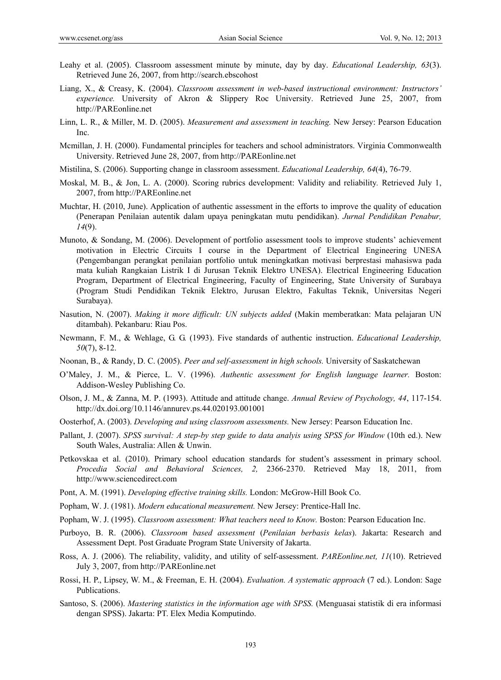- Leahy et al. (2005). Classroom assessment minute by minute, day by day. *Educational Leadership, 63*(3). Retrieved June 26, 2007, from http://search.ebscohost
- Liang, X., & Creasy, K. (2004). *Classroom assessment in web-based instructional environment: Instructors' experience.* University of Akron & Slippery Roc University. Retrieved June 25, 2007, from http://PAREonline.net
- Linn, L. R., & Miller, M. D. (2005). *Measurement and assessment in teaching.* New Jersey: Pearson Education Inc.
- Mcmillan, J. H. (2000). Fundamental principles for teachers and school administrators. Virginia Commonwealth University. Retrieved June 28, 2007, from http://PAREonline.net
- Mistilina, S. (2006). Supporting change in classroom assessment. *Educational Leadership, 64*(4), 76-79.
- Moskal, M. B., & Jon, L. A. (2000). Scoring rubrics development: Validity and reliability*.* Retrieved July 1, 2007, from http://PAREonline.net
- Muchtar, H. (2010, June). Application of authentic assessment in the efforts to improve the quality of education (Penerapan Penilaian autentik dalam upaya peningkatan mutu pendidikan). *Jurnal Pendidikan Penabur, 14*(9).
- Munoto, & Sondang, M. (2006). Development of portfolio assessment tools to improve students' achievement motivation in Electric Circuits I course in the Department of Electrical Engineering UNESA (Pengembangan perangkat penilaian portfolio untuk meningkatkan motivasi berprestasi mahasiswa pada mata kuliah Rangkaian Listrik I di Jurusan Teknik Elektro UNESA). Electrical Engineering Education Program, Department of Electrical Engineering, Faculty of Engineering, State University of Surabaya (Program Studi Pendidikan Teknik Elektro, Jurusan Elektro, Fakultas Teknik, Universitas Negeri Surabaya).
- Nasution, N. (2007). *Making it more difficult: UN subjects added* (Makin memberatkan: Mata pelajaran UN ditambah). Pekanbaru: Riau Pos.
- Newmann, F. M., & Wehlage, G. G. (1993). Five standards of authentic instruction. *Educational Leadership, 50*(7), 8-12.
- Noonan, B., & Randy, D. C. (2005). *Peer and self-assessment in high schools.* University of Saskatchewan
- O'Maley, J. M., & Pierce, L. V. (1996). *Authentic assessment for English language learner.* Boston: Addison-Wesley Publishing Co.
- Olson, J. M., & Zanna, M. P. (1993). Attitude and attitude change. *Annual Review of Psychology, 44*, 117-154. http://dx.doi.org/10.1146/annurev.ps.44.020193.001001
- Oosterhof, A. (2003). *Developing and using classroom assessments.* New Jersey: Pearson Education Inc.
- Pallant, J. (2007). *SPSS survival: A step-by step guide to data analyis using SPSS for Window* (10th ed.). New South Wales, Australia: Allen & Unwin.
- Petkovskaa et al. (2010). Primary school education standards for student's assessment in primary school. *Procedia Social and Behavioral Sciences, 2,* 2366-2370. Retrieved May 18, 2011, from http://www.sciencedirect.com
- Pont, A. M. (1991). *Developing effective training skills.* London: McGrow-Hill Book Co.
- Popham, W. J. (1981). *Modern educational measurement.* New Jersey: Prentice-Hall Inc.
- Popham, W. J. (1995). *Classroom assessment: What teachers need to Know*. Boston: Pearson Education Inc.
- Purboyo, B. R. (2006). *Classroom based assessment* (*Penilaian berbasis kelas*). Jakarta: Research and Assessment Dept. Post Graduate Program State University of Jakarta.
- Ross, A. J. (2006). The reliability, validity, and utility of self-assessment. *PAREonline.net, 11*(10). Retrieved July 3, 2007, from http://PAREonline.net
- Rossi, H. P., Lipsey, W. M., & Freeman, E. H. (2004). *Evaluation. A systematic approach* (7 ed.). London: Sage Publications.
- Santoso, S. (2006). *Mastering statistics in the information age with SPSS.* (Menguasai statistik di era informasi dengan SPSS). Jakarta: PT. Elex Media Komputindo.